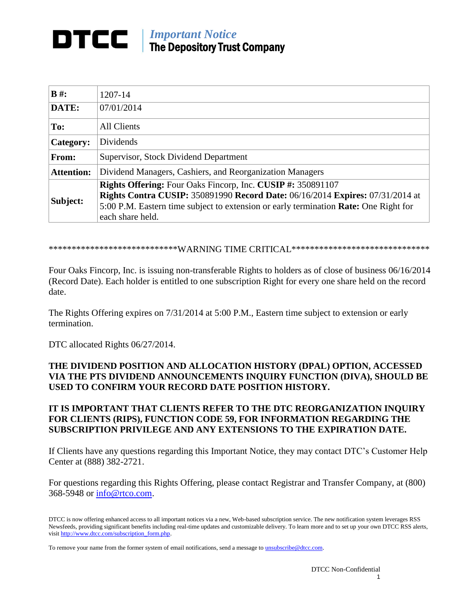## *Important Notice* DTCC The Depository Trust Company

| $B \#$ :          | 1207-14                                                                                                                                                                                                                                                         |
|-------------------|-----------------------------------------------------------------------------------------------------------------------------------------------------------------------------------------------------------------------------------------------------------------|
| DATE:             | 07/01/2014                                                                                                                                                                                                                                                      |
| To:               | <b>All Clients</b>                                                                                                                                                                                                                                              |
| Category:         | <b>Dividends</b>                                                                                                                                                                                                                                                |
| <b>From:</b>      | Supervisor, Stock Dividend Department                                                                                                                                                                                                                           |
| <b>Attention:</b> | Dividend Managers, Cashiers, and Reorganization Managers                                                                                                                                                                                                        |
| Subject:          | Rights Offering: Four Oaks Fincorp, Inc. CUSIP #: 350891107<br><b>Rights Contra CUSIP: 350891990 Record Date: 06/16/2014 Expires: 07/31/2014 at</b><br>5:00 P.M. Eastern time subject to extension or early termination Rate: One Right for<br>each share held. |

\*\*\*\*\*\*\*\*\*\*\*\*\*\*\*\*\*\*\*\*\*\*\*\*\*\*\*\*\*WARNING TIME CRITICAL\*\*\*\*\*\*\*\*\*\*\*\*\*\*\*\*\*\*\*\*\*\*\*\*\*\*\*\*\*\*

Four Oaks Fincorp, Inc. is issuing non-transferable Rights to holders as of close of business 06/16/2014 (Record Date). Each holder is entitled to one subscription Right for every one share held on the record date.

The Rights Offering expires on 7/31/2014 at 5:00 P.M., Eastern time subject to extension or early termination.

DTC allocated Rights 06/27/2014.

## **THE DIVIDEND POSITION AND ALLOCATION HISTORY (DPAL) OPTION, ACCESSED VIA THE PTS DIVIDEND ANNOUNCEMENTS INQUIRY FUNCTION (DIVA), SHOULD BE USED TO CONFIRM YOUR RECORD DATE POSITION HISTORY.**

## **IT IS IMPORTANT THAT CLIENTS REFER TO THE DTC REORGANIZATION INQUIRY FOR CLIENTS (RIPS), FUNCTION CODE 59, FOR INFORMATION REGARDING THE SUBSCRIPTION PRIVILEGE AND ANY EXTENSIONS TO THE EXPIRATION DATE.**

If Clients have any questions regarding this Important Notice, they may contact DTC's Customer Help Center at (888) 382-2721.

For questions regarding this Rights Offering, please contact Registrar and Transfer Company, at (800) 368-5948 or [info@rtco.com.](mailto:info@rtco.com)

DTCC is now offering enhanced access to all important notices via a new, Web-based subscription service. The new notification system leverages RSS Newsfeeds, providing significant benefits including real-time updates and customizable delivery. To learn more and to set up your own DTCC RSS alerts, visit http://www.dtcc.com/subscription\_form.php.

To remove your name from the former system of email notifications, send a message to unsubscribe@dtcc.com.